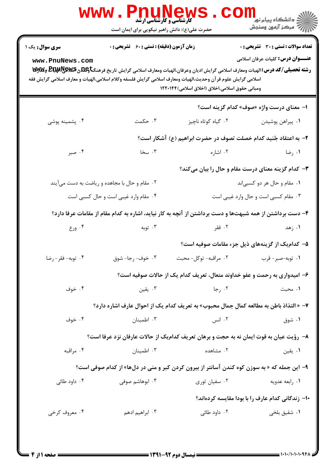| سری سوال: یک ۱  | <b>زمان آزمون (دقیقه) : تستی : 60 ٪ تشریحی : 0</b> |                                                                                                                                                                                                                                                                                                   | <b>تعداد سوالات : تستی : 30 ٪ تشریحی : 0</b>       |
|-----------------|----------------------------------------------------|---------------------------------------------------------------------------------------------------------------------------------------------------------------------------------------------------------------------------------------------------------------------------------------------------|----------------------------------------------------|
| www.PnuNews.com |                                                    | رشته تحصیلی/کد درس: الهیات ومعارف اسلامی گرایش ادیان وعرفان،الهیات ومعارف اسلامی گرایش تاریخ فرهنگتاویلهی پیلایا و پیلایی چیلای<br>اسلامی گرایش علوم قر آن وحدیث،الهیات ومعارف اسلامی گرایش فلسفه وکلام اسلامی،الهیات و معارف اسلامی گرایش فقه<br>ومباني حقوق اسلامي،اخلاق (اخلاق اسلامي) ۱۲۲۰۱۴۴ | <b>عنـــوان درس:</b> کلیات عرفان اسلامی            |
|                 |                                                    |                                                                                                                                                                                                                                                                                                   | ا- معناي درست واژه «صوف» كدام گزينه است؟           |
| ۰۴ پشمینه پوشی  | ۰۳ حکمت                                            | ۰۲ گیاه کوتاه ناچیز                                                                                                                                                                                                                                                                               | ٠١ پيراهن پوشيدن                                   |
|                 |                                                    | ۲- به اعتقاد جُنید کدام خصلت تصوف در حضرت ابراهیم (ع) آشکار است؟                                                                                                                                                                                                                                  |                                                    |
| ۰۴ صبر          | ۰۳ سخا                                             | ۰۲ اشاره                                                                                                                                                                                                                                                                                          | ۰۱ رضا                                             |
|                 |                                                    |                                                                                                                                                                                                                                                                                                   | ۳- کدام گزینه معنای درست مقام و حال را بیان میکند؟ |
|                 | ۰۲ مقام و حال با مجاهده و ریاضت به دست میآیند      |                                                                                                                                                                                                                                                                                                   | ۰۱ مقام و حال هر دو کسبیاند                        |
|                 | ۰۴ مقام وارد غیبی است و حال کسبی است               |                                                                                                                                                                                                                                                                                                   | ۰۳ مقام کسبی است و حال وارد غیبی است               |
|                 |                                                    | ۴– دست برداشتن از همه شبهتها و دست برداشتن از آنچه به کار نیاید، اشاره به کدام مقام از مقامات عرفا دارد؟                                                                                                                                                                                          |                                                    |
| ۰۴ ورع          | ۰۳ توبه                                            | ۰۲ فقر                                                                                                                                                                                                                                                                                            | ۰۱ زهد                                             |
|                 |                                                    |                                                                                                                                                                                                                                                                                                   | ۵– کدامیک از گزینههای ذیل جزء مقامات صوفیه است؟    |
| ۰۴ توبه-فقر-رضا | ۰۳ خوف- رجا- شوق                                   | ۰۲ مراقبه- توكل- محبت                                                                                                                                                                                                                                                                             | ۰۱ توبه-صبر-قرب                                    |
|                 |                                                    | ۶- امیدواری به رحمت و عفو خداوند متعال، تعریف کدام یک از حالات صوفیه است؟                                                                                                                                                                                                                         |                                                    |
| ۰۴ خوف          | تقين $\cdot$                                       | ۰۲ رجا                                                                                                                                                                                                                                                                                            | ۰۱ محبت                                            |
|                 |                                                    | ۷- « التذاذ باطن به مطالعه کمال جمال محبوب» به تعریف کدام یک از احوال عارف اشاره دارد؟                                                                                                                                                                                                            |                                                    |
| ۰۴ خوف          | ۰۳ اطمينان                                         | ۰۲ انس                                                                                                                                                                                                                                                                                            | ۰۱ شوق                                             |
|                 |                                                    | ٨− رؤیت عیان به قوت ایمان نه به حجت و برهان تعریف کدامیک از حالات عارفان نزد عرفا است؟                                                                                                                                                                                                            |                                                    |
| ۰۴ مراقبه       | ۰۳ اطمينان                                         | ۰۲ مشاهده                                                                                                                                                                                                                                                                                         | ۰۱ يقين                                            |
|                 |                                                    | ۹- این جمله که « به سوزن کوه کندن آسانتر از بیرون کردن کبر و منی در دلها» از کدام صوفی است؟                                                                                                                                                                                                       |                                                    |
| ۰۴ داود طائی    | ۰۳ ابوهاشم صوفی                                    | ۰۲ سفیان ثوری                                                                                                                                                                                                                                                                                     | ۰۱ رابعه عدویه                                     |
|                 |                                                    |                                                                                                                                                                                                                                                                                                   | ۱۰– زندگانی کدام عارف را با بودا مقایسه کردهاند؟   |
| ۰۴ معروف کرخی   | ۰۳ ابراهیم ادهم                                    | ۰۲ داود طائ <i>ی</i>                                                                                                                                                                                                                                                                              | ۰۱ شقیق بل <i>خ<sub>ی</sub></i>                    |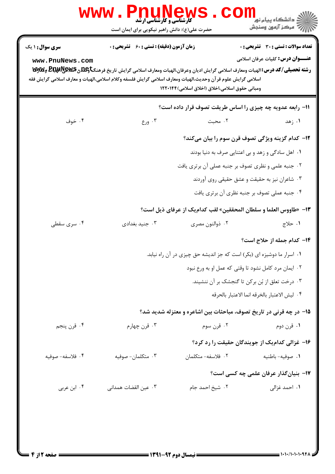| <b>سری سوال :</b> ۱ یک | <b>زمان آزمون (دقیقه) : تستی : 60 ٪ تشریحی : 0</b>                                                                                                                                                                                   |                                                                       | تعداد سوالات : تستي : 30 ٪ تشريحي : 0                              |  |
|------------------------|--------------------------------------------------------------------------------------------------------------------------------------------------------------------------------------------------------------------------------------|-----------------------------------------------------------------------|--------------------------------------------------------------------|--|
| www.PnuNews.com        | رشته تحصیلی/کد درس: الهیات ومعارف اسلامی گرایش ادیان وعرفان،الهیات ومعارف اسلامی گرایش تاریخ فرهنگتاویلگی BE وGWA وWy<br>اسلامی گرایش علوم قر آن وحدیث،الهیات ومعارف اسلامی گرایش فلسفه وکلام اسلامی،الهیات و معارف اسلامی گرایش فقه | ومباني حقوق اسلامي،اخلاق (اخلاق اسلامي) ۱۲۲۰۱۴۴                       | <b>عنـــوان درس:</b> کلیات عرفان اسلامی                            |  |
|                        |                                                                                                                                                                                                                                      |                                                                       | 11- رابعه عدویه چه چیزی را اساس طریقت تصوف قرار داده است؟          |  |
| ۰۴ خوف                 | ۰۳ ورع                                                                                                                                                                                                                               | ۰۲ محبت                                                               | ۰۱ زهد                                                             |  |
|                        |                                                                                                                                                                                                                                      |                                                                       | <b>۱۲</b> - کدام گزینه ویژگی تصوف قرن سوم را بیان میکند؟           |  |
|                        |                                                                                                                                                                                                                                      |                                                                       | ۰۱ اهل سادگی و زهد و بی اعتنایی صرف به دنیا بودند                  |  |
|                        |                                                                                                                                                                                                                                      | ۰۲ جنبه علمی و نظری تصوف بر جنبه عملی آن برتری یافت                   |                                                                    |  |
|                        |                                                                                                                                                                                                                                      |                                                                       | ۰۳ شاعران نیز به حقیقت و عشق حقیقی روی آوردند                      |  |
|                        |                                                                                                                                                                                                                                      |                                                                       | ۰۴ جنبه عملی تصوف بر جنبه نظری آن برتری یافت                       |  |
|                        |                                                                                                                                                                                                                                      |                                                                       | 13- «طاووس العلما و سلطان المحققين» لقب كدام يك از عرفاي ذيل است؟  |  |
| ۰۴ سری سقطی            | ۰۳ جنید بغدادی                                                                                                                                                                                                                       | ۰۲ ذوالنون مصری                                                       | ٠١ حلاج                                                            |  |
|                        |                                                                                                                                                                                                                                      |                                                                       | ۱۴- کدام جمله از حلاج است؟                                         |  |
|                        |                                                                                                                                                                                                                                      | ۰۱ اسرار ما دوشیزه ای (بکر) است که جز اندیشه حق چیزی در آن راه نیابد. |                                                                    |  |
|                        | ۰۲ ایمان مرد کامل نشود تا وقتی که عمل او به ورع نبود                                                                                                                                                                                 |                                                                       |                                                                    |  |
|                        |                                                                                                                                                                                                                                      |                                                                       | ۰۳ درخت تعلق از بُن برکن تا گنجشک بر آن ننشیند.                    |  |
|                        |                                                                                                                                                                                                                                      |                                                                       | ۴. ليش الاعتبار بالخرقه انما الاعتبار بالحرقه                      |  |
|                        |                                                                                                                                                                                                                                      |                                                                       | ۱۵– در چه قرنی در تاریخ تصوف، مباحثات بین اشاعره و معتزله شدید شد؟ |  |
| ۰۴ قرن پنجم            | ۰۳ قرن چهارم                                                                                                                                                                                                                         | ۰۲ قرن سوم                                                            | ۰۱ قرن دوم                                                         |  |
|                        |                                                                                                                                                                                                                                      |                                                                       | ۱۶– غزالی کدامیک از جویندگان حقیقت را رد کرد؟                      |  |
| ۰۴ فلاسفه- صوفيه       | ۰۳ متکلمان- صوفیه                                                                                                                                                                                                                    | ۰۲ فلاسفه- متکلمان                                                    | ٠١ صوفيه-باطنيه                                                    |  |
|                        |                                                                                                                                                                                                                                      |                                                                       | ۱۷- بنیانگذار عرفان علمی چه کسی است؟                               |  |
| ۰۴ ابن عربی            | ۰۳ عین القضات همدانی                                                                                                                                                                                                                 | ۰۲ شیخ احمد جام                                                       | ۰۱ احمد غزالی                                                      |  |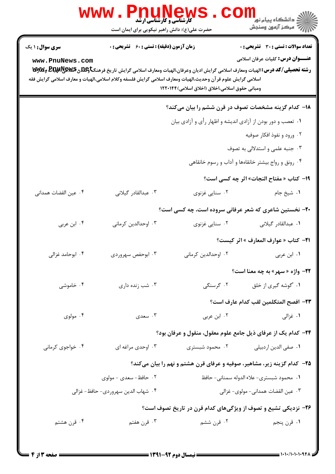|                                           | <b>WWW</b> .<br><b>کارشناسی و کارشناسی ارشد</b><br>حضرت علی(ع): دانش راهبر نیکویی برای ایمان است                                                                  |                                                 | ڪ دانشڪاه پيا <sub>م</sub> نور<br><mark>√</mark> مرڪز آزمون وسنڊش                                                                                                                                                 |
|-------------------------------------------|-------------------------------------------------------------------------------------------------------------------------------------------------------------------|-------------------------------------------------|-------------------------------------------------------------------------------------------------------------------------------------------------------------------------------------------------------------------|
| <b>سری سوال : ۱ یک</b><br>www.PnuNews.com | <b>زمان آزمون (دقیقه) : تستی : 60 ٪ تشریحی : 0</b><br>اسلامی گرایش علوم قر آن وحدیث،الهیات ومعارف اسلامی گرایش فلسفه وکلام اسلامی،الهیات و معارف اسلامی گرایش فقه | ومبانی حقوق اسلامی،اخلاق (اخلاق اسلامی) ۱۲۲۰۱۴۴ | <b>تعداد سوالات : تستی : 30 - تشریحی : 0</b><br><b>عنـــوان درس:</b> کلیات عرفان اسلامی<br>رشته تحصیلی/کد درس: الهیات ومعارف اسلامی گرایش ادیان وعرفان،الهیات ومعارف اسلامی گرایش تاریخ فرهنگتاویلگی هیلایا و WyW |
|                                           |                                                                                                                                                                   |                                                 | <b>۱۸</b> – کدام گزینه مشخصات تصوف در قرن ششم را بیان میکند؟                                                                                                                                                      |
|                                           |                                                                                                                                                                   |                                                 | ۰۱ تعصب و دور بودن از آزادي انديشه و اظهار رأي و آزادي بيان                                                                                                                                                       |
|                                           |                                                                                                                                                                   |                                                 | ۰۲ ورود و نفوذ افکار صوفیه                                                                                                                                                                                        |
|                                           |                                                                                                                                                                   |                                                 | ۰۳ جنبه علمی و استدلالی به تصوف                                                                                                                                                                                   |
|                                           |                                                                                                                                                                   |                                                 | ۰۴ رونق و رواج بیشتر خانقاهها و آداب و رسوم خانقاهی                                                                                                                                                               |
|                                           |                                                                                                                                                                   |                                                 | 1۹- كتاب « مفتاح النجات» اثر چه كسى است؟                                                                                                                                                                          |
| ۰۴ عين القضات همداني                      | ۰۳ عبدالقادر گیلانی                                                                                                                                               | ۰۲ سنایی غزنوی                                  | ٠١. شيخ جام                                                                                                                                                                                                       |
|                                           |                                                                                                                                                                   |                                                 | ۲۰- نخستین شاعری که شعر عرفانی سروده است، چه کسی است؟                                                                                                                                                             |
| ۰۴ ابن عربی                               | ۰۳ اوحدالدین کرمانی                                                                                                                                               | ۰۲ سنایی غزنوی                                  | ٠١. عبدالقادر گيلاني                                                                                                                                                                                              |
|                                           |                                                                                                                                                                   |                                                 | <b>٢١</b> - كتاب « عوارف المعارف » اثر كيست؟                                                                                                                                                                      |
| ۰۴ ابوحامد غزالی                          | ۰۳ ابوحفص سهروردي                                                                                                                                                 | ۰۲ اوحدالدین کرمانی                             | ۰۱ ابن عربی                                                                                                                                                                                                       |
|                                           |                                                                                                                                                                   |                                                 | <b>۲۲- واژه « سهر» به چه معنا است؟</b>                                                                                                                                                                            |
| ۰۴ خاموشی                                 | ۰۳ شب زنده داری                                                                                                                                                   |                                                 | ۰۱ 'گوشه گیری از خلق مسنگی                                                                                                                                                                                        |
|                                           |                                                                                                                                                                   |                                                 | ٢٣- افصح المتكلمين لقب كدام عارف است؟                                                                                                                                                                             |
| ۰۴ مولوی                                  | ۰۳ سعدی                                                                                                                                                           | ۰۲ ابن عربي                                     | ۰۱ غزالی                                                                                                                                                                                                          |
|                                           |                                                                                                                                                                   |                                                 | ۲۴- کدام یک از عرفای ذیل جامع علوم معقول، منقول و عرفان بود؟                                                                                                                                                      |
| ۰۴ خواجوی کرمانی                          | ۰۳ اوحدي مراغه اي                                                                                                                                                 | ۰۲ محمود شبستری                                 | ۰۱ صفى الدين اردبيلي                                                                                                                                                                                              |
|                                           |                                                                                                                                                                   |                                                 | ۲۵- کدام گزینه زیر، مشاهیر، صوفیه و عرفای قرن هشتم و نهم را بیان میکند؟                                                                                                                                           |
|                                           | ۲. حافظ- سعدی - مولوی                                                                                                                                             |                                                 | ٠١. محمود شبسترى- علاء الدوله سمنانى- حافظ                                                                                                                                                                        |
|                                           | ۰۴ شهاب الدين سهروردي- حافظ- غزالي                                                                                                                                |                                                 | ٠٣ عين القضات همداني- مولوي- غزالي                                                                                                                                                                                |
|                                           |                                                                                                                                                                   |                                                 | ۲۶- نزدیکی تشیع و تصوف از ویژگیهای کدام قرن در تاریخ تصوف است؟                                                                                                                                                    |
| ۰۴ قرن هشتم                               | ۰۳ قرن هفتم                                                                                                                                                       | ۰۲ قرن ششم                                      | ۰۱ قرن پنجم                                                                                                                                                                                                       |
|                                           |                                                                                                                                                                   |                                                 |                                                                                                                                                                                                                   |